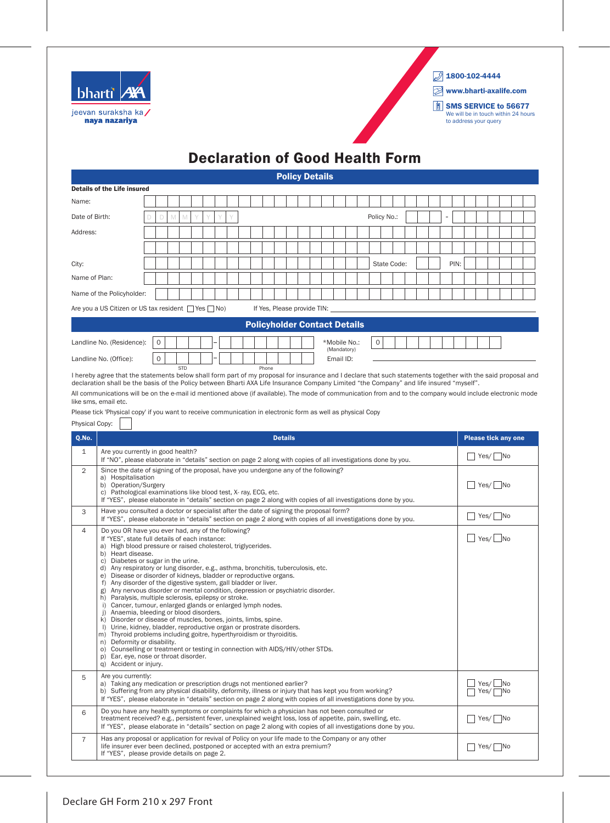

 $2$  1800-102-4444

www.bharti-axalife.com

**SMS SERVICE to 56677** We will be in touch within 24 hours to address your query

## Declaration of Good Health Form

Policy Details

|                | <b>Details of the Life insured</b>                                                                                                                                                                                                                                                                                                                                                                                                                                                                                                                                                                                                                                                                                                                                                                                                                                                                                                                                                                                                                                                                                                      |   |   |              |  |  |  |       |                |                             |  |                                     |  |   |             |  |  |      |  |              |                            |  |
|----------------|-----------------------------------------------------------------------------------------------------------------------------------------------------------------------------------------------------------------------------------------------------------------------------------------------------------------------------------------------------------------------------------------------------------------------------------------------------------------------------------------------------------------------------------------------------------------------------------------------------------------------------------------------------------------------------------------------------------------------------------------------------------------------------------------------------------------------------------------------------------------------------------------------------------------------------------------------------------------------------------------------------------------------------------------------------------------------------------------------------------------------------------------|---|---|--------------|--|--|--|-------|----------------|-----------------------------|--|-------------------------------------|--|---|-------------|--|--|------|--|--------------|----------------------------|--|
| Name:          |                                                                                                                                                                                                                                                                                                                                                                                                                                                                                                                                                                                                                                                                                                                                                                                                                                                                                                                                                                                                                                                                                                                                         |   |   |              |  |  |  |       |                |                             |  |                                     |  |   |             |  |  |      |  |              |                            |  |
| Date of Birth: |                                                                                                                                                                                                                                                                                                                                                                                                                                                                                                                                                                                                                                                                                                                                                                                                                                                                                                                                                                                                                                                                                                                                         | D | M | $\mathbb{M}$ |  |  |  |       |                |                             |  |                                     |  |   | Policy No.: |  |  |      |  |              |                            |  |
| Address:       |                                                                                                                                                                                                                                                                                                                                                                                                                                                                                                                                                                                                                                                                                                                                                                                                                                                                                                                                                                                                                                                                                                                                         |   |   |              |  |  |  |       |                |                             |  |                                     |  |   |             |  |  |      |  |              |                            |  |
|                |                                                                                                                                                                                                                                                                                                                                                                                                                                                                                                                                                                                                                                                                                                                                                                                                                                                                                                                                                                                                                                                                                                                                         |   |   |              |  |  |  |       |                |                             |  |                                     |  |   |             |  |  |      |  |              |                            |  |
| City:          |                                                                                                                                                                                                                                                                                                                                                                                                                                                                                                                                                                                                                                                                                                                                                                                                                                                                                                                                                                                                                                                                                                                                         |   |   |              |  |  |  |       |                |                             |  |                                     |  |   | State Code: |  |  | PIN: |  |              |                            |  |
| Name of Plan:  |                                                                                                                                                                                                                                                                                                                                                                                                                                                                                                                                                                                                                                                                                                                                                                                                                                                                                                                                                                                                                                                                                                                                         |   |   |              |  |  |  |       |                |                             |  |                                     |  |   |             |  |  |      |  |              |                            |  |
|                | Name of the Policyholder:                                                                                                                                                                                                                                                                                                                                                                                                                                                                                                                                                                                                                                                                                                                                                                                                                                                                                                                                                                                                                                                                                                               |   |   |              |  |  |  |       |                |                             |  |                                     |  |   |             |  |  |      |  |              |                            |  |
|                | Are you a US Citizen or US tax resident $\Box$ Yes $\Box$ No)                                                                                                                                                                                                                                                                                                                                                                                                                                                                                                                                                                                                                                                                                                                                                                                                                                                                                                                                                                                                                                                                           |   |   |              |  |  |  |       |                | If Yes, Please provide TIN: |  |                                     |  |   |             |  |  |      |  |              |                            |  |
|                |                                                                                                                                                                                                                                                                                                                                                                                                                                                                                                                                                                                                                                                                                                                                                                                                                                                                                                                                                                                                                                                                                                                                         |   |   |              |  |  |  |       |                |                             |  | <b>Policyholder Contact Details</b> |  |   |             |  |  |      |  |              |                            |  |
|                | Landline No. (Residence):                                                                                                                                                                                                                                                                                                                                                                                                                                                                                                                                                                                                                                                                                                                                                                                                                                                                                                                                                                                                                                                                                                               | 0 |   |              |  |  |  |       |                |                             |  | *Mobile No.:                        |  | 0 |             |  |  |      |  |              |                            |  |
|                | Landline No. (Office):                                                                                                                                                                                                                                                                                                                                                                                                                                                                                                                                                                                                                                                                                                                                                                                                                                                                                                                                                                                                                                                                                                                  | 0 |   |              |  |  |  |       |                |                             |  | (Mandatory)<br>Email ID:            |  |   |             |  |  |      |  |              |                            |  |
|                | I hereby agree that the statements below shall form part of my proposal for insurance and I declare that such statements together with the said proposal and<br>declaration shall be the basis of the Policy between Bharti AXA Life Insurance Company Limited "the Company" and life insured "myself".<br>All communications will be on the e-mail id mentioned above (if available). The mode of communication from and to the company would include electronic mode<br>like sms, email etc.<br>Please tick 'Physical copy' if you want to receive communication in electronic form as well as physical Copy                                                                                                                                                                                                                                                                                                                                                                                                                                                                                                                          |   |   | <b>STD</b>   |  |  |  | Phone |                |                             |  |                                     |  |   |             |  |  |      |  |              |                            |  |
| Physical Copy: |                                                                                                                                                                                                                                                                                                                                                                                                                                                                                                                                                                                                                                                                                                                                                                                                                                                                                                                                                                                                                                                                                                                                         |   |   |              |  |  |  |       |                |                             |  |                                     |  |   |             |  |  |      |  |              |                            |  |
| Q.No.          |                                                                                                                                                                                                                                                                                                                                                                                                                                                                                                                                                                                                                                                                                                                                                                                                                                                                                                                                                                                                                                                                                                                                         |   |   |              |  |  |  |       | <b>Details</b> |                             |  |                                     |  |   |             |  |  |      |  |              | <b>Please tick any one</b> |  |
| $\mathbf{1}$   | Are you currently in good health?<br>If "NO", please elaborate in "details" section on page 2 along with copies of all investigations done by you.                                                                                                                                                                                                                                                                                                                                                                                                                                                                                                                                                                                                                                                                                                                                                                                                                                                                                                                                                                                      |   |   |              |  |  |  |       |                |                             |  |                                     |  |   |             |  |  |      |  |              | $Yes/$ No                  |  |
| $\overline{2}$ | Since the date of signing of the proposal, have you undergone any of the following?<br>a) Hospitalisation<br>b) Operation/Surgery<br>c) Pathological examinations like blood test, X- ray, ECG, etc.<br>If "YES", please elaborate in "details" section on page 2 along with copies of all investigations done by you.                                                                                                                                                                                                                                                                                                                                                                                                                                                                                                                                                                                                                                                                                                                                                                                                                  |   |   |              |  |  |  |       |                |                             |  |                                     |  |   |             |  |  |      |  |              | $Yes/$ No                  |  |
| 3              | Have you consulted a doctor or specialist after the date of signing the proposal form?<br>If "YES", please elaborate in "details" section on page 2 along with copies of all investigations done by you.                                                                                                                                                                                                                                                                                                                                                                                                                                                                                                                                                                                                                                                                                                                                                                                                                                                                                                                                |   |   |              |  |  |  |       |                |                             |  |                                     |  |   |             |  |  |      |  |              | $Yes/$ No                  |  |
| $\overline{4}$ | Do you OR have you ever had, any of the following?<br>If "YES", state full details of each instance:<br>a) High blood pressure or raised cholesterol, triglycerides.<br>b) Heart disease.<br>Diabetes or sugar in the urine.<br>C)<br>d) Any respiratory or lung disorder, e.g., asthma, bronchitis, tuberculosis, etc.<br>Disease or disorder of kidneys, bladder or reproductive organs.<br>f) Any disorder of the digestive system, gall bladder or liver.<br>Any nervous disorder or mental condition, depression or psychiatric disorder.<br>g)<br>h) Paralysis, multiple sclerosis, epilepsy or stroke.<br>i) Cancer, tumour, enlarged glands or enlarged lymph nodes.<br>Anaemia, bleeding or blood disorders.<br>i)<br>k) Disorder or disease of muscles, bones, joints, limbs, spine.<br>I) Urine, kidney, bladder, reproductive organ or prostrate disorders.<br>m) Thyroid problems including goitre, hyperthyroidism or thyroiditis.<br>n) Deformity or disability.<br>o) Counselling or treatment or testing in connection with AIDS/HIV/other STDs.<br>Ear, eye, nose or throat disorder.<br>p)<br>q) Accident or injury. |   |   |              |  |  |  |       |                |                             |  |                                     |  |   |             |  |  |      |  |              | Yes/ $\Box$ No             |  |
| 5              | Are you currently:<br>a) Taking any medication or prescription drugs not mentioned earlier?<br>b) Suffering from any physical disability, deformity, illness or injury that has kept you from working?<br>If "YES", please elaborate in "details" section on page 2 along with copies of all investigations done by you.                                                                                                                                                                                                                                                                                                                                                                                                                                                                                                                                                                                                                                                                                                                                                                                                                |   |   |              |  |  |  |       |                |                             |  |                                     |  |   |             |  |  |      |  | Yes/<br>Yes/ | No<br>⊤No                  |  |
| 6              | Do you have any health symptoms or complaints for which a physician has not been consulted or<br>treatment received? e.g., persistent fever, unexplained weight loss, loss of appetite, pain, swelling, etc.<br>If "YES", please elaborate in "details" section on page 2 along with copies of all investigations done by you.                                                                                                                                                                                                                                                                                                                                                                                                                                                                                                                                                                                                                                                                                                                                                                                                          |   |   |              |  |  |  |       |                |                             |  |                                     |  |   |             |  |  |      |  |              | $Yes/$ No                  |  |
| $\overline{7}$ | Has any proposal or application for revival of Policy on your life made to the Company or any other<br>life insurer ever been declined, postponed or accepted with an extra premium?<br>If "YES", please provide details on page 2.                                                                                                                                                                                                                                                                                                                                                                                                                                                                                                                                                                                                                                                                                                                                                                                                                                                                                                     |   |   |              |  |  |  |       |                |                             |  |                                     |  |   |             |  |  |      |  |              | Yes/    No                 |  |